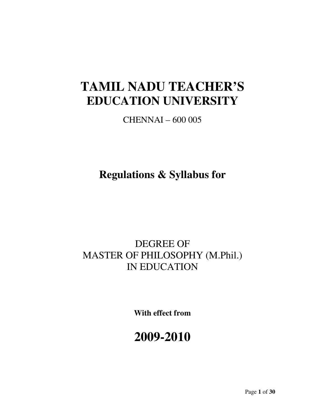# TAMIL NADU TEACHER'S EDUCATION UNIVERSITY

CHENNAI – 600 005

Regulations & Syllabus for

# DEGREE OF MASTER OF PHILOSOPHY (M.Phil.) IN EDUCATION

With effect from

# 2009-2010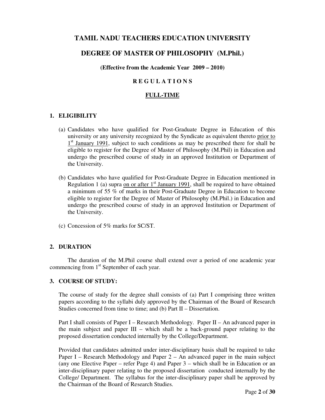# TAMIL NADU TEACHERS EDUCATION UNIVERSITY

# DEGREE OF MASTER OF PHILOSOPHY (M.Phil.)

#### (Effective from the Academic Year 2009 – 2010)

#### R E G U L A T I O N S

#### FULL-TIME

#### 1. ELIGIBILITY

- (a) Candidates who have qualified for Post-Graduate Degree in Education of this university or any university recognized by the Syndicate as equivalent thereto prior to <sup>1st</sup> January 1991, subject to such conditions as may be prescribed there for shall be eligible to register for the Degree of Master of Philosophy (M.Phil) in Education and undergo the prescribed course of study in an approved Institution or Department of the University.
- (b) Candidates who have qualified for Post-Graduate Degree in Education mentioned in Regulation 1 (a) supra on or after  $1<sup>st</sup>$  January 1991, shall be required to have obtained a minimum of 55 % of marks in their Post-Graduate Degree in Education to become eligible to register for the Degree of Master of Philosophy (M.Phil.) in Education and undergo the prescribed course of study in an approved Institution or Department of the University.
- (c) Concession of 5% marks for SC/ST.

#### 2. DURATION

 The duration of the M.Phil course shall extend over a period of one academic year commencing from 1<sup>st</sup> September of each year.

#### 3. COURSE OF STUDY:

The course of study for the degree shall consists of (a) Part I comprising three written papers according to the syllabi duly approved by the Chairman of the Board of Research Studies concerned from time to time; and (b) Part II – Dissertation.

Part I shall consists of Paper I – Research Methodology. Paper II – An advanced paper in the main subject and paper III – which shall be a back-ground paper relating to the proposed dissertation conducted internally by the College/Department.

Provided that candidates admitted under inter-disciplinary basis shall be required to take Paper I – Research Methodology and Paper 2 – An advanced paper in the main subject (any one Elective Paper – refer Page 4) and Paper 3 – which shall be in Education or an inter-disciplinary paper relating to the proposed dissertation conducted internally by the College/ Department. The syllabus for the inter-disciplinary paper shall be approved by the Chairman of the Board of Research Studies.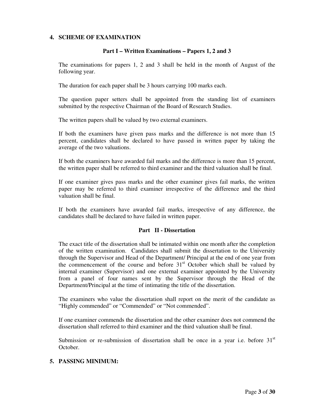#### 4. SCHEME OF EXAMINATION

#### Part I – Written Examinations – Papers 1, 2 and 3

The examinations for papers 1, 2 and 3 shall be held in the month of August of the following year.

The duration for each paper shall be 3 hours carrying 100 marks each.

The question paper setters shall be appointed from the standing list of examiners submitted by the respective Chairman of the Board of Research Studies.

The written papers shall be valued by two external examiners.

If both the examiners have given pass marks and the difference is not more than 15 percent, candidates shall be declared to have passed in written paper by taking the average of the two valuations.

If both the examiners have awarded fail marks and the difference is more than 15 percent, the written paper shall be referred to third examiner and the third valuation shall be final.

If one examiner gives pass marks and the other examiner gives fail marks, the written paper may be referred to third examiner irrespective of the difference and the third valuation shall be final.

If both the examiners have awarded fail marks, irrespective of any difference, the candidates shall be declared to have failed in written paper.

#### Part II - Dissertation

The exact title of the dissertation shall be intimated within one month after the completion of the written examination. Candidates shall submit the dissertation to the University through the Supervisor and Head of the Department/ Principal at the end of one year from the commencement of the course and before  $31<sup>st</sup>$  October which shall be valued by internal examiner (Supervisor) and one external examiner appointed by the University from a panel of four names sent by the Supervisor through the Head of the Department/Principal at the time of intimating the title of the dissertation.

The examiners who value the dissertation shall report on the merit of the candidate as "Highly commended" or "Commended" or "Not commended".

If one examiner commends the dissertation and the other examiner does not commend the dissertation shall referred to third examiner and the third valuation shall be final.

Submission or re-submission of dissertation shall be once in a year i.e. before  $31<sup>st</sup>$ October.

#### 5. PASSING MINIMUM: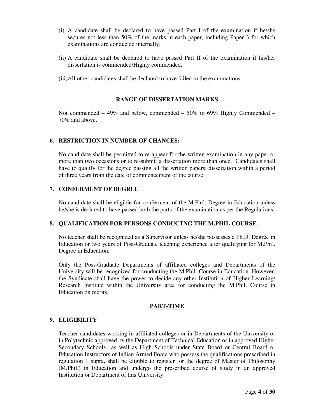- (i) A candidate shall be declared to have passed Part I of the examination if he/she secures not less than 50% of the marks in each paper, including Paper 3 for which examinations are conducted internally.
- (ii) A candidate shall be declared to have passed Part II of the examination if his/her dissertation is commended/Highly commended.
- (iii)All other candidates shall be declared to have failed in the examinations.

### RANGE OF DISSERTATION MARKS

Not commended  $-49\%$  and below, commended  $-50\%$  to 69% Highly Commended  $-$ 70% and above.

#### 6. RESTRICTION IN NUMBER OF CHANCES:

No candidate shall be permitted to re-appear for the written examination in any paper or more than two occasions or to re-submit a dissertation more than once. Candidates shall have to qualify for the degree passing all the written papers, dissertation within a period of three years from the date of commencement of the course.

#### 7. CONFERMENT OF DEGREE

No candidate shall be eligible for conferment of the M.Phil. Degree in Education unless he/she is declared to have passed both the parts of the examination as per the Regulations.

## 8. QUALIFICATION FOR PERSONS CONDUCTNG THE M.PHIL COURSE.

No teacher shall be recognized as a Supervisor unless he/she possesses a Ph.D. Degree in Education or two years of Post-Graduate teaching experience after qualifying for M.Phil. Degree in Education.

Only the Post-Graduate Departments of affiliated colleges and Departments of the University will be recognized for conducting the M.Phil. Course in Education. However, the Syndicate shall have the power to decide any other Institution of Higher Learning/ Research Institute within the University area for conducting the M.Phil. Course in Education on merits.

#### PART-TIME

## 9. ELIGIBILITY

Teacher candidates working in affiliated colleges or in Departments of the University or in Polytechnic approved by the Department of Technical Education or in approved Higher Secondary Schools as well as High Schools under State Board or Central Board or Education Instructors of Indian Armed Force who possess the qualifications prescribed in regulation 1 supra, shall be eligible to register for the degree of Master of Philosophy (M.Phil.) in Education and undergo the prescribed course of study in an approved Institution or Department of this University.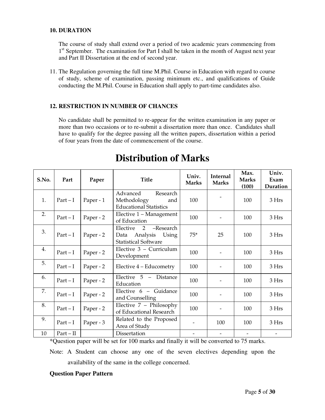#### 10. DURATION

The course of study shall extend over a period of two academic years commencing from 1<sup>st</sup> September. The examination for Part I shall be taken in the month of August next year and Part II Dissertation at the end of second year.

11. The Regulation governing the full time M.Phil. Course in Education with regard to course of study, scheme of examination, passing minimum etc., and qualifications of Guide conducting the M.Phil. Course in Education shall apply to part-time candidates also.

## 12. RESTRICTION IN NUMBER OF CHANCES

No candidate shall be permitted to re-appear for the written examination in any paper or more than two occasions or to re-submit a dissertation more than once. Candidates shall have to qualify for the degree passing all the written papers, dissertation within a period of four years from the date of commencement of the course.

| S.No. | Part      | Paper     | <b>Title</b>                                                                        | Univ.<br><b>Marks</b>    | Internal<br><b>Marks</b> | Max.<br><b>Marks</b><br>(100) | Univ.<br>Exam<br>Duration |
|-------|-----------|-----------|-------------------------------------------------------------------------------------|--------------------------|--------------------------|-------------------------------|---------------------------|
| 1.    | $Part-I$  | Paper - 1 | Advanced<br>Research<br>Methodology<br>and<br><b>Educational Statistics</b>         | 100                      |                          | 100                           | 3 Hrs                     |
| 2.    | $Part-I$  | Paper - 2 | Elective 1 - Management<br>of Education                                             | 100                      |                          | 100                           | 3 Hrs                     |
| 3.    | $Part-I$  | Paper - 2 | 2<br>-Research<br>Elective<br>Using<br>Data Analysis<br><b>Statistical Software</b> | $75*$                    | 25                       | 100                           | 3 Hrs                     |
| 4.    | $Part-I$  | Paper - 2 | Elective 3 - Curriculum<br>Development                                              | 100                      |                          | 100                           | 3 Hrs                     |
| 5.    | $Part-I$  | Paper - 2 | Elective 4 – Educometry                                                             | 100                      |                          | 100                           | 3 Hrs                     |
| 6.    | $Part-I$  | Paper - 2 | Elective 5 - Distance<br>Education                                                  | 100                      |                          | 100                           | 3 Hrs                     |
| 7.    | $Part-I$  | Paper - 2 | Elective 6 - Guidance<br>and Counselling                                            | 100                      | $\overline{\phantom{0}}$ | 100                           | 3 Hrs                     |
| 8.    | $Part-I$  | Paper - 2 | Elective $7$ – Philosophy<br>of Educational Research                                | 100                      |                          | 100                           | 3 Hrs                     |
| 9.    | $Part-I$  | Paper - 3 | Related to the Proposed<br>Area of Study                                            |                          | 100                      | 100                           | 3 Hrs                     |
| 10    | $Part-II$ |           | Dissertation                                                                        | $\overline{\phantom{a}}$ |                          |                               |                           |

# Distribution of Marks

\*Question paper will be set for 100 marks and finally it will be converted to 75 marks.

Note: A Student can choose any one of the seven electives depending upon the availability of the same in the college concerned.

## Question Paper Pattern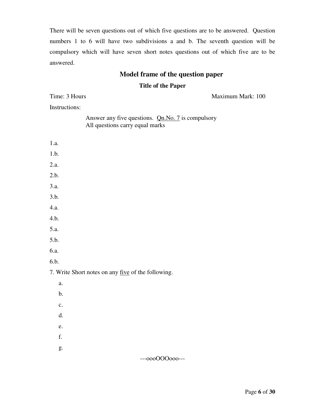There will be seven questions out of which five questions are to be answered. Question numbers 1 to 6 will have two subdivisions a and b. The seventh question will be compulsory which will have seven short notes questions out of which five are to be answered.

# Model frame of the question paper

#### Title of the Paper

Answer any five questions. **Qn.No. 7** is compulsory

Time: 3 Hours Maximum Mark: 100

Instructions:

| All questions carry equal marks                    |
|----------------------------------------------------|
| 1.a.                                               |
| 1.b.                                               |
| 2.a.                                               |
| 2.b.                                               |
| 3.a.                                               |
| 3.b.                                               |
| 4.a.                                               |
| 4.b.                                               |
| 5.a.                                               |
| 5.b.                                               |
| 6.a.                                               |
| 6.b.                                               |
| 7. Write Short notes on any five of the following. |
| a.                                                 |
| $\mathbf b.$                                       |
| $\mathbf{c}$ .                                     |
| d.                                                 |
| e.                                                 |
| f.                                                 |
| g.                                                 |
| ---000000000---                                    |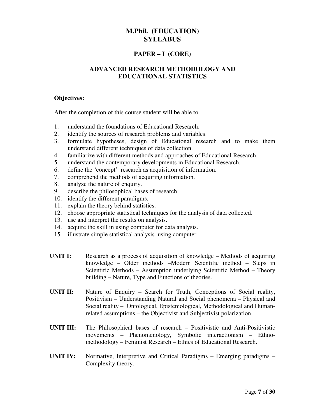# PAPER – I (CORE)

# ADVANCED RESEARCH METHODOLOGY AND EDUCATIONAL STATISTICS

#### Objectives:

After the completion of this course student will be able to

- 1. understand the foundations of Educational Research.
- 2. identify the sources of research problems and variables.
- 3. formulate hypotheses, design of Educational research and to make them understand different techniques of data collection.
- 4. familiarize with different methods and approaches of Educational Research.
- 5. understand the contemporary developments in Educational Research.
- 6. define the 'concept' research as acquisition of information.
- 7. comprehend the methods of acquiring information.
- 8. analyze the nature of enquiry.
- 9. describe the philosophical bases of research
- 10. identify the different paradigms.
- 11. explain the theory behind statistics.
- 12. choose appropriate statistical techniques for the analysis of data collected.
- 13. use and interpret the results on analysis.
- 14. acquire the skill in using computer for data analysis.
- 15. illustrate simple statistical analysis using computer.
- UNIT I: Research as a process of acquisition of knowledge Methods of acquiring knowledge – Older methods –Modern Scientific method – Steps in Scientific Methods – Assumption underlying Scientific Method – Theory building – Nature, Type and Functions of theories.
- UNIT II: Nature of Enquiry Search for Truth, Conceptions of Social reality, Positivism – Understanding Natural and Social phenomena – Physical and Social reality – Ontological, Epistemological, Methodological and Humanrelated assumptions – the Objectivist and Subjectivist polarization.
- UNIT III: The Philosophical bases of research Positivistic and Anti-Positivistic movements – Phenomenology, Symbolic interactionism – Ethnomethodology – Feminist Research – Ethics of Educational Research.
- UNIT IV: Normative, Interpretive and Critical Paradigms Emerging paradigms Complexity theory.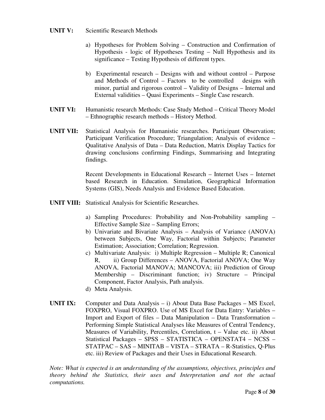## UNIT V: Scientific Research Methods

- a) Hypotheses for Problem Solving Construction and Confirmation of Hypothesis - logic of Hypotheses Testing – Null Hypothesis and its significance – Testing Hypothesis of different types.
- b) Experimental research Designs with and without control Purpose and Methods of Control – Factors to be controlled designs with minor, partial and rigorous control – Validity of Designs – Internal and External validities – Quasi Experiments – Single Case research.
- UNIT VI: Humanistic research Methods: Case Study Method Critical Theory Model – Ethnographic research methods – History Method.
- UNIT VII: Statistical Analysis for Humanistic researches. Participant Observation; Participant Verification Procedure; Triangulation; Analysis of evidence – Qualitative Analysis of Data – Data Reduction, Matrix Display Tactics for drawing conclusions confirming Findings, Summarising and Integrating findings.

Recent Developments in Educational Research – Internet Uses – Internet based Research in Education. Simulation, Geographical Information Systems (GIS), Needs Analysis and Evidence Based Education.

- UNIT VIII: Statistical Analysis for Scientific Researches.
	- a) Sampling Procedures: Probability and Non-Probability sampling Effective Sample Size – Sampling Errors;
	- b) Univariate and Bivariate Analysis Analysis of Variance (ANOVA) between Subjects, One Way, Factorial within Subjects; Parameter Estimation; Association; Correlation; Regression.
	- c) Multivariate Analysis: i) Multiple Regression Multiple R; Canonical R, ii) Group Differences – ANOVA, Factorial ANOVA; One Way ANOVA, Factorial MANOVA; MANCOVA; iii) Prediction of Group Membership – Discriminant function; iv) Structure – Principal Component, Factor Analysis, Path analysis.
	- d) Meta Analysis.
- UNIT IX: Computer and Data Analysis i) About Data Base Packages MS Excel, FOXPRO, Visual FOXPRO. Use of MS Excel for Data Entry: Variables – Import and Export of files – Data Manipulation – Data Transformation – Performing Simple Statistical Analyses like Measures of Central Tendency, Measures of Variability, Percentiles, Correlation, t – Value etc. ii) About Statistical Packages – SPSS – STATISTICA – OPENSTAT4 – NCSS – STATPAC – SAS – MINITAB – VISTA – STRATA – R-Statistics, Q-Plus etc. iii) Review of Packages and their Uses in Educational Research.

Note: What is expected is an understanding of the assumptions, objectives, principles and theory behind the Statistics, their uses and Interpretation and not the actual computations.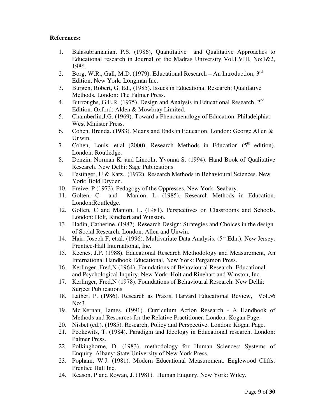### References:

- 1. Balasubramanian, P.S. (1986), Quantitative and Qualitative Approaches to Educational research in Journal of the Madras University Vol.LVIII, No:1&2, 1986.
- 2. Borg, W.R., Gall, M.D. (1979). Educational Research An Introduction,  $3<sup>rd</sup>$ Edition, New York: Longman Inc.
- 3. Burgen, Robert, G. Ed., (1985). Issues in Educational Research: Qualitative Methods. London: The Falmer Press.
- 4. Burroughs, G.E.R. (1975). Design and Analysis in Educational Research. 2<sup>nd</sup> Edition. Oxford: Alden & Mowbray Limited.
- 5. Chamberlin,J.G. (1969). Toward a Phenomenology of Education. Philadelphia: West Minister Press.
- 6. Cohen, Brenda. (1983). Means and Ends in Education. London: George Allen & Unwin.
- 7. Cohen, Louis. et.al  $(2000)$ , Research Methods in Education  $(5<sup>th</sup>$  edition). London: Routledge.
- 8. Denzin, Norman K. and Lincoln, Yvonna S. (1994). Hand Book of Qualitative Research. New Delhi: Sage Publications.
- 9. Festinger, U & Katz.. (1972). Research Methods in Behavioural Sciences. New York: Bold Dryden.
- 10. Freive, P (1973), Pedagogy of the Oppresses, New York: Seabary.
- 11. Golten, C and Manion, L. (1985). Research Methods in Education. London:Routledge.
- 12. Golten, C and Manion, L. (1981). Perspectives on Classrooms and Schools. London: Holt, Rinehart and Winston.
- 13. Hadin, Catherine. (1987). Research Design: Strategies and Choices in the design of Social Research. London: Allen and Unwin.
- 14. Hair, Joseph F. et.al. (1996). Multivariate Data Analysis. (5<sup>th</sup> Edn.). New Jersey: Prentice-Hall International, Inc.
- 15. Keenes, J.P. (1988). Educational Research Methodology and Measurement, An International Handbook Educational, New York: Pergamon Press.
- 16. Kerlinger, Fred,N (1964). Foundations of Behavioural Research: Educational and Psychological Inquiry. New York: Holt and Rinehart and Winston, Inc.
- 17. Kerlinger, Fred,N (1978). Foundations of Behavioural Research. New Delhi: Surjeet Publications.
- 18. Lather, P. (1986). Research as Praxis, Harvard Educational Review, Vol.56 No:3.
- 19. Mc.Kernan, James. (1991). Curriculum Action Research A Handbook of Methods and Resources for the Relative Practitioner, London: Kogan Page.
- 20. Nisbet (ed.). (1985). Research, Policy and Perspective. London: Kogan Page.
- 21. Peokewits, T. (1984). Paradigm and Ideology in Educational research. London: Palmer Press.
- 22. Polkinghorne, D. (1983). methodology for Human Sciences: Systems of Enquiry. Albany: State University of New York Press.
- 23. Popham, W.J. (1981). Modern Educational Measurement. Englewood Cliffs: Prentice Hall Inc.
- 24. Reason, P and Rowan, J. (1981). Human Enquiry. New York: Wiley.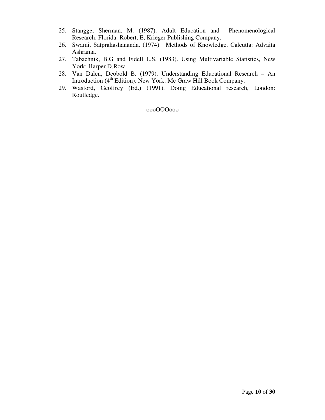- 25. Stangge, Sherman, M. (1987). Adult Education and Phenomenological Research. Florida: Robert, E, Krieger Publishing Company.
- 26. Swami, Satprakashananda. (1974). Methods of Knowledge. Calcutta: Advaita Ashrama.
- 27. Tabachnik, B.G and Fidell L.S. (1983). Using Multivariable Statistics, New York: Harper.D.Row.
- 28. Van Dalen, Deobold B. (1979). Understanding Educational Research An Introduction (4<sup>th</sup> Edition). New York: Mc Graw Hill Book Company.
- 29. Wasford, Geoffrey (Ed.) (1991). Doing Educational research, London: Routledge.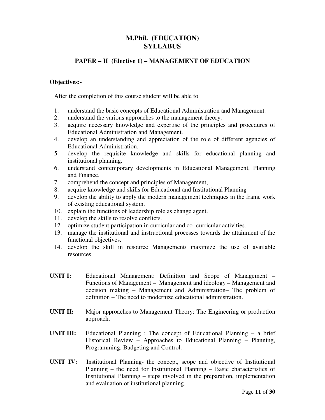# PAPER – II (Elective 1) – MANAGEMENT OF EDUCATION

### Objectives:-

After the completion of this course student will be able to

- 1. understand the basic concepts of Educational Administration and Management.
- 2. understand the various approaches to the management theory.
- 3. acquire necessary knowledge and expertise of the principles and procedures of Educational Administration and Management.
- 4. develop an understanding and appreciation of the role of different agencies of Educational Administration.
- 5. develop the requisite knowledge and skills for educational planning and institutional planning.
- 6. understand contemporary developments in Educational Management, Planning and Finance.
- 7. comprehend the concept and principles of Management,
- 8. acquire knowledge and skills for Educational and Institutional Planning
- 9. develop the ability to apply the modern management techniques in the frame work of existing educational system.
- 10. explain the functions of leadership role as change agent.
- 11. develop the skills to resolve conflicts.
- 12. optimize student participation in curricular and co- curricular activities.
- 13. manage the institutional and instructional processes towards the attainment of the functional objectives.
- 14. develop the skill in resource Management/ maximize the use of available resources.
- UNIT I: Educational Management: Definition and Scope of Management Functions of Management – Management and ideology – Management and decision making – Management and Administration– The problem of definition – The need to modernize educational administration.
- UNIT II: Major approaches to Management Theory: The Engineering or production approach.
- UNIT III: Educational Planning : The concept of Educational Planning a brief Historical Review – Approaches to Educational Planning – Planning, Programming, Budgeting and Control.
- UNIT IV: Institutional Planning- the concept, scope and objective of Institutional Planning – the need for Institutional Planning – Basic characteristics of Institutional Planning – steps involved in the preparation, implementation and evaluation of institutional planning.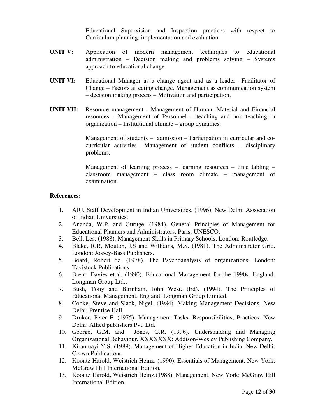Educational Supervision and Inspection practices with respect to Curriculum planning, implementation and evaluation.

- UNIT V: Application of modern management techniques to educational administration – Decision making and problems solving – Systems approach to educational change.
- UNIT VI: Educational Manager as a change agent and as a leader –Facilitator of Change – Factors affecting change. Management as communication system – decision making process – Motivation and participation.
- UNIT VII: Resource management Management of Human, Material and Financial resources - Management of Personnel – teaching and non teaching in organization – Institutional climate – group dynamics.

Management of students – admission – Participation in curricular and cocurricular activities –Management of student conflicts – disciplinary problems.

Management of learning process – learning resources – time tabling – classroom management – class room climate – management of examination.

## References:

- 1. AIU, Staff Development in Indian Universities. (1996). New Delhi: Association of Indian Universities.
- 2. Ananda, W.P. and Guruge. (1984). General Principles of Management for Educational Planners and Administrators. Paris: UNESCO.
- 3. Bell, Les. (1988). Management Skills in Primary Schools, London: Routledge.
- 4. Blake, R.R, Mouton, J.S and Williams, M.S. (1981). The Administrator Grid. London: Jossey-Bass Publishers.
- 5. Board, Robert de. (1978). The Psychoanalysis of organizations. London: Tavistock Publications.
- 6. Brent, Davies et.al. (1990). Educational Management for the 1990s. England: Longman Group Ltd.,
- 7. Bush, Tony and Burnham, John West. (Ed). (1994). The Principles of Educational Management. England: Longman Group Limited.
- 8. Cooke, Steve and Slack, Nigel. (1984). Making Management Decisions. New Delhi: Prentice Hall.
- 9. Druker, Peter F. (1975). Management Tasks, Responsibilities, Practices. New Delhi: Allied publishers Pvt. Ltd.
- 10. George, G.M. and Jones, G.R. (1996). Understanding and Managing Organizational Behaviour. XXXXXXX: Addison-Wesley Publishing Company.
- 11. Kiranmayi Y.S. (1989). Management of Higher Education in India. New Delhi: Crown Publications.
- 12. Koontz Harold, Weistrich Heinz. (1990). Essentials of Management. New York: McGraw Hill International Edition.
- 13. Koontz Harold, Weistrich Heinz.(1988). Management. New York: McGraw Hill International Edition.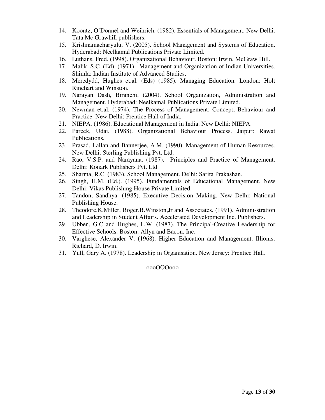- 14. Koontz, O'Donnel and Weihrich. (1982). Essentials of Management. New Delhi: Tata Mc Grawhill publishers.
- 15. Krishnamacharyulu, V. (2005). School Management and Systems of Education. Hyderabad: Neelkamal Publications Private Limited.
- 16. Luthans, Fred. (1998). Organizational Behaviour. Boston: Irwin, McGraw Hill.
- 17. Malik, S.C. (Ed). (1971). Management and Organization of Indian Universities. Shimla: Indian Institute of Advanced Studies.
- 18. Meredydd, Hughes et.al. (Eds) (1985). Managing Education. London: Holt Rinehart and Winston.
- 19. Narayan Dash, Biranchi. (2004). School Organization, Administration and Management. Hyderabad: Neelkamal Publications Private Limited.
- 20. Newman et.al. (1974). The Process of Management: Concept, Behaviour and Practice. New Delhi: Prentice Hall of India.
- 21. NIEPA. (1986). Educational Management in India. New Delhi: NIEPA.
- 22. Pareek, Udai. (1988). Organizational Behaviour Process. Jaipur: Rawat Publications.
- 23. Prasad, Lallan and Bannerjee, A.M. (1990). Management of Human Resources. New Delhi: Sterling Publishing Pvt. Ltd.
- 24. Rao, V.S.P. and Narayana. (1987). Principles and Practice of Management. Delhi: Konark Publishers Pvt. Ltd.
- 25. Sharma, R.C. (1983). School Management. Delhi: Sarita Prakashan.
- 26. Singh, H.M. (Ed.). (1995). Fundamentals of Educational Management. New Delhi: Vikas Publishing House Private Limited.
- 27. Tandon, Sandhya. (1985). Executive Decision Making. New Delhi: National Publishing House.
- 28. Theodore.K.Miller, Roger.B.Winston,Jr and Associates. (1991). Admini-stration and Leadership in Student Affairs. Accelerated Development Inc. Publishers.
- 29. Ubben, G.C and Hughes, L.W. (1987). The Principal-Creative Leadership for Effective Schools. Boston: Allyn and Bacon, Inc.
- 30. Varghese, Alexander V. (1968). Higher Education and Management. Illionis: Richard, D. Irwin.
- 31. Yull, Gary A. (1978). Leadership in Organisation. New Jersey: Prentice Hall.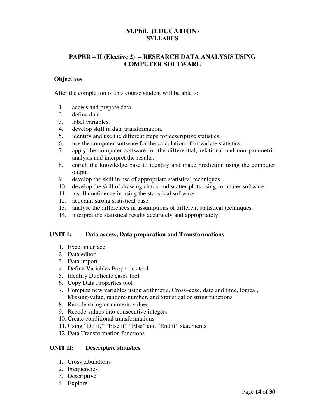# PAPER – II (Elective 2) – RESEARCH DATA ANALYSIS USING COMPUTER SOFTWARE

## **Objectives**

After the completion of this course student will be able to

- 1. access and prepare data.
- 2. define data.
- 3. label variables.
- 4. develop skill in data transformation.
- 5. identify and use the different steps for descriptive statistics.
- 6. use the computer software for the calculation of bi-variate statistics.
- 7. apply the computer software for the differential, relational and non parametric analysis and interpret the results.
- 8. enrich the knowledge base to identify and make prediction using the computer output.
- 9. develop the skill in use of appropriate statistical techniques
- 10. develop the skill of drawing charts and scatter plots using computer software.
- 11. instill confidence in using the statistical software.
- 12. acquaint strong statistical base.
- 13. analyse the differences in assumptions of different statistical techniques.
- 14. interpret the statistical results accurately and appropriately.

#### UNIT I: Data access, Data preparation and Transformations

- 1. Excel interface
- 2. Data editor
- 3. Data import
- 4. Define Variables Properties tool
- 5. Identify Duplicate cases tool
- 6. Copy Data Properties tool
- 7. Compute new variables using arithmetic, Cross–case, date and time, logical, Missing-value, random-number, and Statistical or string functions
- 8. Recode string or numeric values
- 9. Recode values into consecutive integers
- 10. Create conditional transformations
- 11. Using "Do if," "Else if" "Else" and "End if" statements
- 12. Data Transformation functions

### UNIT II: Descriptive statistics

- 1. Cross tabulations
- 2. Frequencies
- 3. Descriptive
- 4. Explore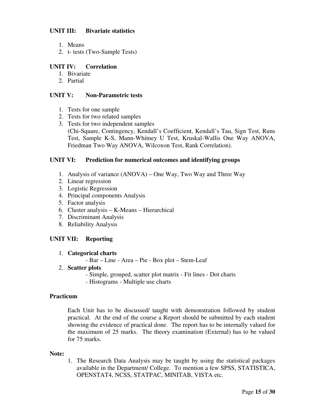## UNIT III: Bivariate statistics

- 1. Means
- 2. t- tests (Two-Sample Tests)

# UNIT IV: Correlation

- 1. Bivariate
- 2. Partial

# UNIT V: Non-Parametric tests

- 1. Tests for one sample
- 2. Tests for two related samples
- 3. Tests for two independent samples

(Chi-Square, Contingency, Kendall's Coefficient, Kendall's Tau, Sign Test, Runs Test, Sample K-S, Mann-Whitney U Test, Kruskal-Wallis One Way ANOVA, Friedman Two Way ANOVA, Wilcoxon Test, Rank Correlation).

# UNIT VI: Prediction for numerical outcomes and identifying groups

- 1. Analysis of variance (ANOVA) One Way, Two Way and Three Way
- 2. Linear regression
- 3. Logistic Regression
- 4. Principal components Analysis
- 5. Factor analysis
- 6. Cluster analysis K-Means Hierarchical
- 7. Discriminant Analysis
- 8. Reliability Analysis

# UNIT VII: Reporting

- 1. Categorical charts
	- Bar Line Area Pie Box plot Stem-Leaf

## 2. Scatter plots

- Simple, grouped, scatter plot matrix Fit lines Dot charts
- Histograms Multiple use charts

# Practicum

Each Unit has to be discussed/ taught with demonstration followed by student practical. At the end of the course a Report should be submitted by each student showing the evidence of practical done. The report has to be internally valued for the maximum of 25 marks. The theory examination (External) has to be valued for 75 marks.

## Note:

1. The Research Data Analysis may be taught by using the statistical packages available in the Department/ College. To mention a few SPSS, STATISTICA, OPENSTAT4, NCSS, STATPAC, MINITAB, VISTA etc.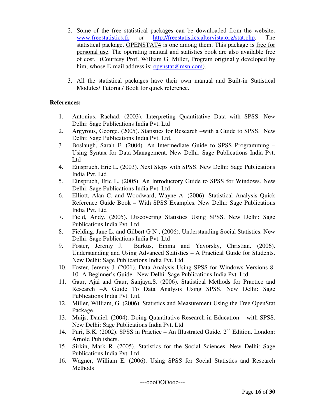- 2. Some of the free statistical packages can be downloaded from the website: www.freestatistics.tk or http://freestatistics.altervista.org/stat.php. The statistical package, OPENSTAT4 is one among them. This package is free for personal use. The operating manual and statistics book are also available free of cost. (Courtesy Prof. William G. Miller, Program originally developed by him, whose E-mail address is:  $\frac{\text{openstat@msn.com}}{\text{openstat@msn.com}}$ .
- 3. All the statistical packages have their own manual and Built-in Statistical Modules/ Tutorial/ Book for quick reference.

# References:

- 1. Antonius, Rachad. (2003). Interpreting Quantitative Data with SPSS. New Delhi: Sage Publications India Pvt. Ltd
- 2. Argyrous, George. (2005). Statistics for Research –with a Guide to SPSS. New Delhi: Sage Publications India Pvt. Ltd.
- 3. Boslaugh, Sarah E. (2004). An Intermediate Guide to SPSS Programming Using Syntax for Data Management. New Delhi: Sage Publications India Pvt. Ltd
- 4. Einspruch, Eric L. (2003). Next Steps with SPSS. New Delhi: Sage Publications India Pvt. Ltd
- 5. Einspruch, Eric L. (2005). An Introductory Guide to SPSS for Windows. New Delhi: Sage Publications India Pvt. Ltd
- 6. Elliott, Alan C. and Woodward, Wayne A. (2006). Statistical Analysis Quick Reference Guide Book – With SPSS Examples. New Delhi: Sage Publications India Pvt. Ltd
- 7. Field, Andy. (2005). Discovering Statistics Using SPSS. New Delhi: Sage Publications India Pvt. Ltd.
- 8. Fielding, Jane L. and Gilbert G N , (2006). Understanding Social Statistics. New Delhi: Sage Publications India Pvt. Ltd
- 9. Foster, Jeremy J. Barkus, Emma and Yavorsky, Christian. (2006). Understanding and Using Advanced Statistics – A Practical Guide for Students. New Delhi: Sage Publications India Pvt. Ltd.
- 10. Foster, Jeremy J. (2001). Data Analysis Using SPSS for Windows Versions 8- 10- A Beginner's Guide. New Delhi: Sage Publications India Pvt. Ltd
- 11. Gaur, Ajai and Gaur, Sanjaya.S. (2006). Statistical Methods for Practice and Research –A Guide To Data Analysis Using SPSS. New Delhi: Sage Publications India Pvt. Ltd.
- 12. Miller, William, G. (2006). Statistics and Measurement Using the Free OpenStat Package.
- 13. Muijs, Daniel. (2004). Doing Quantitative Research in Education with SPSS. New Delhi: Sage Publications India Pvt. Ltd
- 14. Puri, B.K. (2002). SPSS in Practice An Illustrated Guide. 2<sup>nd</sup> Edition. London: Arnold Publishers.
- 15. Sirkin, Mark R. (2005). Statistics for the Social Sciences. New Delhi: Sage Publications India Pvt. Ltd.
- 16. Wagner, William E. (2006). Using SPSS for Social Statistics and Research Methods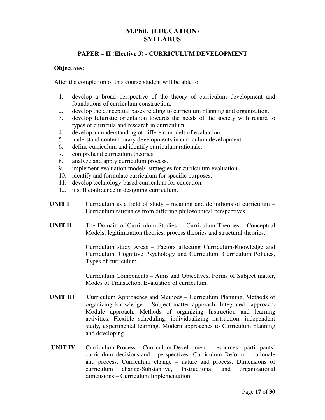# PAPER – II (Elective 3) - CURRICULUM DEVELOPMENT

#### Objectives:

After the completion of this course student will be able to

- 1. develop a broad perspective of the theory of curriculum development and foundations of curriculum construction.
- 2. develop the conceptual bases relating to curriculum planning and organization.
- 3. develop futuristic orientation towards the needs of the society with regard to types of curricula and research in curriculum.
- 4. develop an understanding of different models of evaluation.
- 5. understand contemporary developments in curriculum development.
- 6. define curriculum and identify curriculum rationale.
- 7. comprehend curriculum theories.
- 8. analyze and apply curriculum process.
- 9. implement evaluation model/ strategies for curriculum evaluation.
- 10. identify and formulate curriculum for specific purposes.
- 11. develop technology-based curriculum for education.
- 12. instill confidence in designing curriculum.
- UNIT I Curriculum as a field of study meaning and definitions of curriculum Curriculum rationales from differing philosophical perspectives
- UNIT II The Domain of Curriculum Studies Curriculum Theories Conceptual Models, legitimization theories, process theories and structural theories.

Curriculum study Areas – Factors affecting Curriculum-Knowledge and Curriculum. Cognitive Psychology and Curriculum, Curriculum Policies, Types of curriculum.

Curriculum Components – Aims and Objectives, Forms of Subject matter, Modes of Transaction, Evaluation of curriculum.

- UNIT III Curriculum Approaches and Methods Curriculum Planning, Methods of organizing knowledge – Subject matter approach, Integrated approach, Module approach, Methods of organizing Instruction and learning activities. Flexible scheduling, individualizing instruction, independent study, experimental learning, Modern approaches to Curriculum planning and developing.
- UNIT IV Curriculum Process Curriculum Development resources participants' curriculum decisions and perspectives. Curriculum Reform – rationale and process. Curriculum change – nature and process. Dimensions of curriculum change-Substantive, Instructional and organizational dimensions – Curriculum Implementation.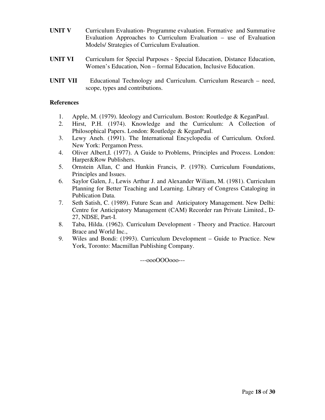- UNIT V Curriculum Evaluation-Programme evaluation. Formative and Summative Evaluation Approaches to Curriculum Evaluation – use of Evaluation Models/ Strategies of Curriculum Evaluation.
- UNIT VI Curriculum for Special Purposes Special Education, Distance Education, Women's Education, Non – formal Education, Inclusive Education.
- UNIT VII Educational Technology and Curriculum. Curriculum Research need, scope, types and contributions.

# **References**

- 1. Apple, M. (1979). Ideology and Curriculum. Boston: Routledge & KeganPaul.
- 2. Hirst, P.H. (1974). Knowledge and the Curriculum: A Collection of Philosophical Papers. London: Routledge & KeganPaul.
- 3. Lewy Aneh. (1991). The International Encyclopedia of Curriculum. Oxford. New York: Pergamon Press.
- 4. Oliver Albert,I. (1977). A Guide to Problems, Principles and Process. London: Harper&Row Publishers.
- 5. Ornstein Allan, C and Hunkin Francis, P. (1978). Curriculum Foundations, Principles and Issues.
- 6. Saylor Galen, J., Lewis Arthur J. and Alexander Wiliam, M. (1981). Curriculum Planning for Better Teaching and Learning. Library of Congress Cataloging in Publication Data.
- 7. Seth Satish, C. (1989). Future Scan and Anticipatory Management. New Delhi: Centre for Anticipatory Management (CAM) Recorder ran Private Limited., D-27, NDSE, Part-I.
- 8. Taba, Hilda. (1962). Curriculum Development Theory and Practice. Harcourt Brace and World Inc.,
- 9. Wiles and Bondi: (1993). Curriculum Development Guide to Practice. New York, Toronto: Macmillan Publishing Company.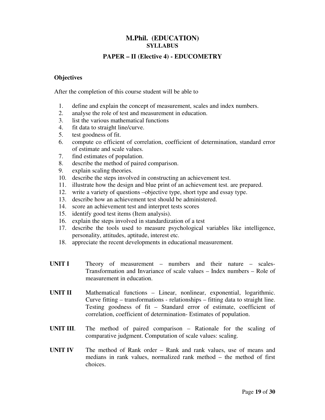# PAPER – II (Elective 4) - EDUCOMETRY

### **Objectives**

After the completion of this course student will be able to

- 1. define and explain the concept of measurement, scales and index numbers.
- 2. analyse the role of test and measurement in education.
- 3. list the various mathematical functions
- 4. fit data to straight line/curve.
- 5. test goodness of fit.
- 6. compute co efficient of correlation, coefficient of determination, standard error of estimate and scale values.
- 7. find estimates of population.
- 8. describe the method of paired comparison.
- 9. explain scaling theories.
- 10. describe the steps involved in constructing an achievement test.
- 11. illustrate how the design and blue print of an achievement test. are prepared.
- 12. write a variety of questions –objective type, short type and essay type.
- 13. describe how an achievement test should be administered.
- 14. score an achievement test and interpret tests scores
- 15. identify good test items (Item analysis).
- 16. explain the steps involved in standardization of a test
- 17. describe the tools used to measure psychological variables like intelligence, personality, attitudes, aptitude, interest etc.
- 18. appreciate the recent developments in educational measurement.
- UNIT I Theory of measurement numbers and their nature scales-Transformation and Invariance of scale values – Index numbers – Role of measurement in education.
- UNIT II Mathematical functions Linear, nonlinear, exponential, logarithmic. Curve fitting – transformations - relationships – fitting data to straight line. Testing goodness of fit – Standard error of estimate, coefficient of correlation, coefficient of determination- Estimates of population.
- UNIT III. The method of paired comparison Rationale for the scaling of comparative judgment. Computation of scale values: scaling.
- UNIT IV The method of Rank order Rank and rank values, use of means and medians in rank values, normalized rank method – the method of first choices.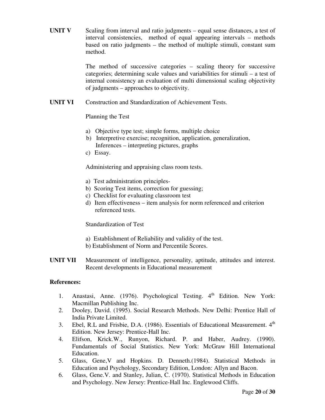UNIT V Scaling from interval and ratio judgments – equal sense distances, a test of interval consistencies, method of equal appearing intervals – methods based on ratio judgments – the method of multiple stimuli, constant sum method.

> The method of successive categories – scaling theory for successive categories; determining scale values and variabilities for stimuli – a test of internal consistency an evaluation of multi dimensional scaling objectivity of judgments – approaches to objectivity.

UNIT VI Construction and Standardization of Achievement Tests.

Planning the Test

- a) Objective type test; simple forms, multiple choice
- b) Interpretive exercise; recognition, application, generalization, Inferences – interpreting pictures, graphs
- c) Essay.

Administering and appraising class room tests.

- a) Test administration principles-
- b) Scoring Test items, correction for guessing;
- c) Checklist for evaluating classroom test
- d) Item effectiveness item analysis for norm referenced and criterion referenced tests.

Standardization of Test

- a) Establishment of Reliability and validity of the test.
- b) Establishment of Norm and Percentile Scores.
- UNIT VII Measurement of intelligence, personality, aptitude, attitudes and interest. Recent developments in Educational measurement

## References:

- 1. Anastasi, Anne. (1976). Psychological Testing.  $4<sup>th</sup>$  Edition. New York: Macmillan Publishing Inc.
- 2. Dooley, David. (1995). Social Research Methods. New Delhi: Prentice Hall of India Private Limited.
- 3. Ebel, R.L and Frisbie, D.A. (1986). Essentials of Educational Measurement. 4<sup>th</sup> Edition. New Jersey: Prentice-Hall Inc.
- 4. Elifson, Krick.W., Runyon, Richard. P. and Haber, Audrey. (1990). Fundamentals of Social Statistics. New York: McGraw Hill International Education.
- 5. Glass, Gene,V and Hopkins. D. Denneth.(1984). Statistical Methods in Education and Psychology, Secondary Edition, London: Allyn and Bacon.
- 6. Glass, Gene.V. and Stanley, Julian, C. (1970). Statistical Methods in Education and Psychology. New Jersey: Prentice-Hall Inc. Englewood Cliffs.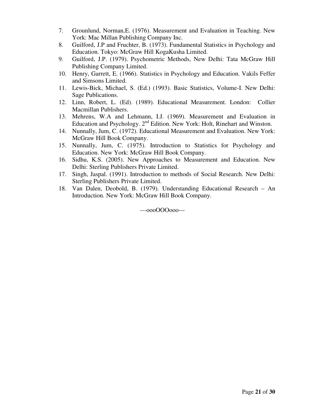- 7. Grounlund, Norman,E. (1976). Measurement and Evaluation in Teaching. New York: Mac Millan Publishing Company Inc.
- 8. Guilford, J.P and Fruchter, B. (1973). Fundamental Statistics in Psychology and Education. Tokyo: McGraw Hill KogaKusha Limited.
- 9. Guilford, J.P. (1979). Psychometric Methods, New Delhi: Tata McGraw Hill Publishing Company Limited.
- 10. Henry, Garrett, E. (1966). Statistics in Psychology and Education. Vakils Feffer and Simsons Limited.
- 11. Lewis-Bick, Michael, S. (Ed.) (1993). Basic Statistics, Volume-I. New Delhi: Sage Publications.
- 12. Linn, Robert, L. (Ed). (1989). Educational Measurement. London: Collier Macmillan Publishers.
- 13. Mehrens, W.A and Lehmann, I.J. (1969). Measurement and Evaluation in Education and Psychology.  $2<sup>nd</sup>$  Edition. New York: Holt, Rinehart and Winston.
- 14. Nunnally, Jum, C. (1972). Educational Measurement and Evaluation. New York: McGraw Hill Book Company.
- 15. Nunnally, Jum, C. (1975). Introduction to Statistics for Psychology and Education. New York: McGraw Hill Book Company.
- 16. Sidhu, K.S. (2005). New Approaches to Measurement and Education. New Delhi: Sterling Publishers Private Limited.
- 17. Singh, Jaspal. (1991). Introduction to methods of Social Research. New Delhi: Sterling Publishers Private Limited.
- 18. Van Dalen, Deobold, B. (1979). Understanding Educational Research An Introduction. New York: McGraw Hill Book Company.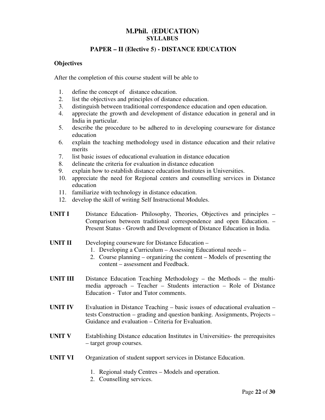# PAPER – II (Elective 5) - DISTANCE EDUCATION

#### **Objectives**

After the completion of this course student will be able to

- 1. define the concept of distance education.
- 2. list the objectives and principles of distance education.
- 3. distinguish between traditional correspondence education and open education.
- 4. appreciate the growth and development of distance education in general and in India in particular.
- 5. describe the procedure to be adhered to in developing courseware for distance education
- 6. explain the teaching methodology used in distance education and their relative merits
- 7. list basic issues of educational evaluation in distance education
- 8. delineate the criteria for evaluation in distance education
- 9. explain how to establish distance education Institutes in Universities.
- 10. appreciate the need for Regional centers and counselling services in Distance education
- 11. familiarize with technology in distance education.
- 12. develop the skill of writing Self Instructional Modules.
- UNIT I Distance Education- Philosophy, Theories, Objectives and principles Comparison between traditional correspondence and open Education. – Present Status - Growth and Development of Distance Education in India.
- UNIT II Developing courseware for Distance Education
	- 1. Developing a Curriculum Assessing Educational needs –
	- 2. Course planning organizing the content Models of presenting the content – assessment and Feedback.
- UNIT III Distance Education Teaching Methodology the Methods the multimedia approach – Teacher – Students interaction – Role of Distance Education - Tutor and Tutor comments.
- UNIT IV Evaluation in Distance Teaching  $-$  basic issues of educational evaluation  $$ tests Construction – grading and question banking. Assignments, Projects – Guidance and evaluation – Criteria for Evaluation.
- UNIT V Establishing Distance education Institutes in Universities- the prerequisites – target group courses.
- UNIT VI Organization of student support services in Distance Education.
	- 1. Regional study Centres Models and operation.
	- 2. Counselling services.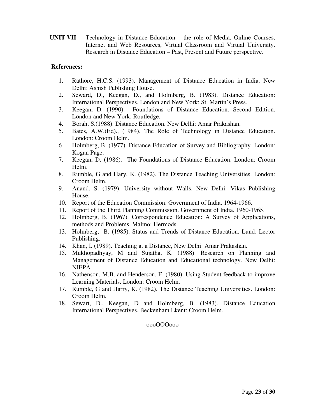UNIT VII Technology in Distance Education – the role of Media, Online Courses, Internet and Web Resources, Virtual Classroom and Virtual University. Research in Distance Education – Past, Present and Future perspective.

## References:

- 1. Rathore, H.C.S. (1993). Management of Distance Education in India. New Delhi: Ashish Publishing House.
- 2. Seward, D., Keegan, D., and Holmberg, B. (1983). Distance Education: International Perspectives. London and New York: St. Martin's Press.
- 3. Keegan, D. (1990). Foundations of Distance Education. Second Edition. London and New York: Routledge.
- 4. Borah, S.(1988). Distance Education. New Delhi: Amar Prakashan.
- 5. Bates, A.W.(Ed)., (1984). The Role of Technology in Distance Education. London: Croom Helm.
- 6. Holmberg, B. (1977). Distance Education of Survey and Bibliography. London: Kogan Page.
- 7. Keegan, D. (1986). The Foundations of Distance Education. London: Croom Helm.
- 8. Rumble, G and Hary, K. (1982). The Distance Teaching Universities. London: Croom Helm.
- 9. Anand, S. (1979). University without Walls. New Delhi: Vikas Publishing House.
- 10. Report of the Education Commission. Government of India. 1964-1966.
- 11. Report of the Third Planning Commission. Government of India. 1960-1965.
- 12. Holmberg, B. (1967). Correspondence Education: A Survey of Applications, methods and Problems. Malmo: Hermods.
- 13. Holmberg, B. (1985). Status and Trends of Distance Education. Lund: Lector Publishing.
- 14. Khan, I. (1989). Teaching at a Distance, New Delhi: Amar Prakashan.
- 15. Mukhopadhyay, M and Sujatha, K. (1988). Research on Planning and Management of Distance Education and Educational technology. New Delhi: NIEPA.
- 16. Nathenson, M.B. and Henderson, E. (1980). Using Student feedback to improve Learning Materials. London: Croom Helm.
- 17. Rumble, G and Harry, K. (1982). The Distance Teaching Universities. London: Croom Helm.
- 18. Sewart, D., Keegan, D and Holmberg, B. (1983). Distance Education International Perspectives. Beckenham Lkent: Croom Helm.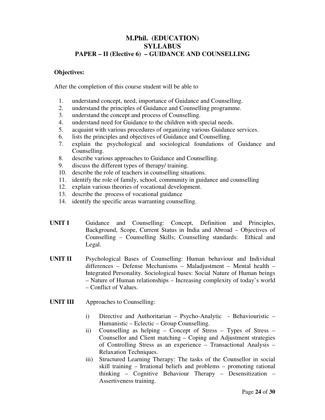# M.Phil. (EDUCATION) SYLLABUS PAPER – II (Elective 6) – GUIDANCE AND COUNSELLING

### Objectives:

After the completion of this course student will be able to

- 1. understand concept, need, importance of Guidance and Counselling.
- 2. understand the principles of Guidance and Counselling programme.
- 3. understand the concept and process of Counselling.
- 4. understand need for Guidance to the children with special needs.
- 5. acquaint with various procedures of organizing various Guidance services.
- 6. lists the principles and objectives of Guidance and Counselling.
- 7. explain the psychological and sociological foundations of Guidance and Counselling.
- 8. describe various approaches to Guidance and Counselling.
- 9. discuss the different types of therapy/ training.
- 10. describe the role of teachers in counselling situations.
- 11. identify the role of family, school, community in guidance and counselling
- 12. explain various theories of vocational development.
- 13. describe the process of vocational guidance
- 14. identify the specific areas warranting counselling.
- UNIT I Guidance and Counselling: Concept, Definition and Principles, Background, Scope, Current Status in India and Abroad – Objectives of Counselling – Counselling Skills; Counselling standards: Ethical and Legal.
- UNIT II Psychological Bases of Counselling: Human behaviour and Individual differences – Defense Mechanisms – Maladjustment – Mental health – Integrated Personality. Sociological bases: Social Nature of Human beings – Nature of Human relationships – Increasing complexity of today's world – Conflict of Values.
- UNIT III Approaches to Counselling:
	- i) Directive and Authoritarian Psycho-Analytic Behaviouristic Humanistic – Eclectic – Group Counselling.
	- ii) Counselling as helping Concept of Stress Types of Stress Counsellor and Client matching – Coping and Adjustment strategies of Controlling Stress as an experience – Transactional Analysis – Relaxation Techniques.
	- iii) Structured Learning Therapy: The tasks of the Counsellor in social skill training – Irrational beliefs and problems – promoting rational thinking – Cognitive Behaviour Therapy – Desensitization – Assertiveness training.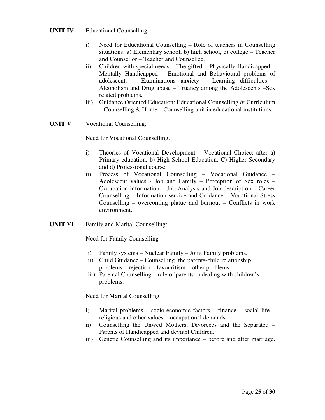## UNIT IV Educational Counselling:

- i) Need for Educational Counselling Role of teachers in Counselling situations: a) Elementary school, b) high school, c) college – Teacher and Counsellor – Teacher and Counsellee.
- ii) Children with special needs The gifted Physically Handicapped Mentally Handicapped – Emotional and Behavioural problems of adolescents – Examinations anxiety – Learning difficulties – Alcoholism and Drug abuse – Truancy among the Adolescents –Sex related problems.
- iii) Guidance Oriented Education: Educational Counselling & Curriculum – Counselling & Home – Counselling unit in educational institutions.
- UNIT V Vocational Counselling:

Need for Vocational Counselling.

- i) Theories of Vocational Development Vocational Choice: after a) Primary education, b) High School Education, C) Higher Secondary and d) Professional course.
- ii) Process of Vocational Counselling Vocational Guidance Adolescent values - Job and Family – Perception of Sex roles – Occupation information – Job Analysis and Job description – Career Counselling – Information service and Guidance – Vocational Stress Counselling – overcoming platue and burnout – Conflicts in work environment.
- UNIT VI Family and Marital Counselling:

Need for Family Counselling

- i) Family systems Nuclear Family Joint Family problems.
- ii) Child Guidance Counselling the parents-child relationship problems – rejection – favouritism – other problems.
- iii) Parental Counselling role of parents in dealing with children's problems.

Need for Marital Counselling

- i) Marital problems socio-economic factors finance social life religious and other values – occupational demands.
- ii) Counselling the Unwed Mothers, Divorcees and the Separated Parents of Handicapped and deviant Children.
- iii) Genetic Counselling and its importance before and after marriage.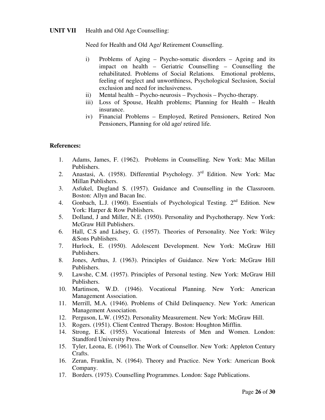Need for Health and Old Age/ Retirement Counselling.

- i) Problems of Aging Psycho-somatic disorders Ageing and its impact on health – Geriatric Counselling – Counselling the rehabilitated. Problems of Social Relations. Emotional problems, feeling of neglect and unworthiness, Psychological Seclusion, Social exclusion and need for inclusiveness.
- ii) Mental health Psycho-neurosis Psychosis Psycho-therapy.
- iii) Loss of Spouse, Health problems; Planning for Health Health insurance.
- iv) Financial Problems Employed, Retired Pensioners, Retired Non Pensioners, Planning for old age/ retired life.

# References:

- 1. Adams, James, F. (1962). Problems in Counselling. New York: Mac Millan Publishers.
- 2. Anastasi, A. (1958). Differential Psychology. 3<sup>rd</sup> Edition. New York: Mac Millan Publishers.
- 3. Asfukel, Dugland S. (1957). Guidance and Counselling in the Classroom. Boston: Allyn and Bacan Inc.
- 4. Gonbach, L.J. (1960). Essentials of Psychological Testing. 2<sup>nd</sup> Edition. New York: Harper & Row Publishers.
- 5. Dolland, J and Miller, N.E. (1950). Personality and Psychotherapy. New York: McGraw Hill Publishers.
- 6. Hall, C.S and Lidsey, G. (1957). Theories of Personality. Nee York: Wiley &Sons Publishers.
- 7. Hurlock, E. (1950). Adolescent Development. New York: McGraw Hill Publishers.
- 8. Jones, Arthus, J. (1963). Principles of Guidance. New York: McGraw Hill Publishers.
- 9. Lawshe, C.M. (1957). Principles of Personal testing. New York: McGraw Hill Publishers.
- 10. Martinson, W.D. (1946). Vocational Planning. New York: American Management Association.
- 11. Merrill, M.A. (1946). Problems of Child Delinquency. New York: American Management Association.
- 12. Perguson, L.W. (1952). Personality Measurement. New York: McGraw Hill.
- 13. Rogers. (1951). Client Centred Therapy. Boston: Houghton Mifflin.
- 14. Strong, E.K. (1955). Vocational Interests of Men and Women. London: Standford University Press.
- 15. Tyler, Leona, E. (1961). The Work of Counsellor. New York: Appleton Century Crafts.
- 16. Zeran, Franklin, N. (1964). Theory and Practice. New York: American Book Company.
- 17. Borders. (1975). Counselling Programmes. London: Sage Publications.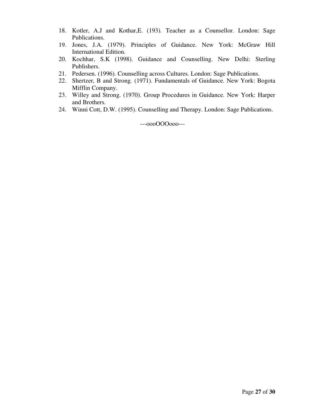- 18. Kotler, A.J and Kothar,E. (193). Teacher as a Counsellor. London: Sage Publications.
- 19. Jones, J.A. (1979). Principles of Guidance. New York: McGraw Hill International Edition.
- 20. Kochhar, S.K (1998). Guidance and Counselling. New Delhi: Sterling Publishers.
- 21. Pedersen. (1996). Counselling across Cultures. London: Sage Publications.
- 22. Shertzer, B and Strong. (1971). Fundamentals of Guidance. New York: Bogota Mifflin Company.
- 23. Willey and Strong. (1970). Group Procedures in Guidance. New York: Harper and Brothers.
- 24. Winni Cott, D.W. (1995). Counselling and Therapy. London: Sage Publications.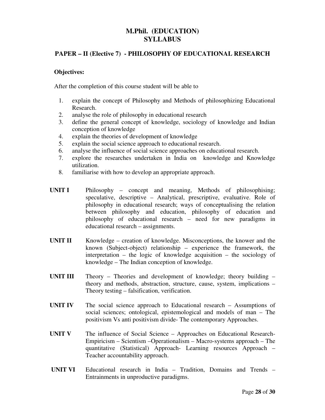# PAPER – II (Elective 7) - PHILOSOPHY OF EDUCATIONAL RESEARCH

#### Objectives:

After the completion of this course student will be able to

- 1. explain the concept of Philosophy and Methods of philosophizing Educational Research.
- 2. analyse the role of philosophy in educational research
- 3. define the general concept of knowledge, sociology of knowledge and Indian conception of knowledge
- 4. explain the theories of development of knowledge
- 5. explain the social science approach to educational research.
- 6. analyse the influence of social science approaches on educational research.
- 7. explore the researches undertaken in India on knowledge and Knowledge utilization.
- 8. familiarise with how to develop an appropriate approach.

UNIT I Philosophy – concept and meaning, Methods of philosophising; speculative, descriptive – Analytical, prescriptive, evaluative. Role of philosophy in educational research; ways of conceptualising the relation between philosophy and education, philosophy of education and philosophy of educational research – need for new paradigms in educational research – assignments.

- UNIT II Knowledge creation of knowledge. Misconceptions, the knower and the known (Subject-object) relationship – experience the framework, the interpretation – the logic of knowledge acquisition – the sociology of knowledge – The Indian conception of knowledge.
- UNIT III Theory Theories and development of knowledge; theory building theory and methods, abstraction, structure, cause, system, implications – Theory testing – falsification, verification.
- UNIT IV The social science approach to Educational research Assumptions of social sciences; ontological, epistemological and models of man – The positivism Vs anti positivism divide- The contemporary Approaches.
- UNIT V The influence of Social Science Approaches on Educational Research-Empiricism – Scientism –Operationalism – Macro-systems approach – The quantitative (Statistical) Approach- Learning resources Approach – Teacher accountability approach.
- UNIT VI Educational research in India Tradition, Domains and Trends Entrainments in unproductive paradigms.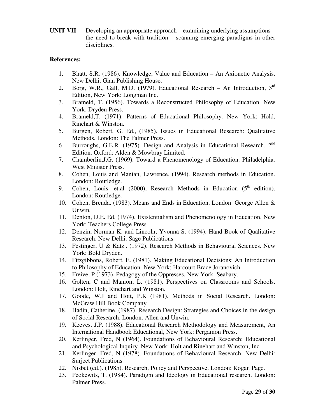UNIT VII Developing an appropriate approach – examining underlying assumptions – the need to break with tradition – scanning emerging paradigms in other disciplines.

## References:

- 1. Bhatt, S.R. (1986). Knowledge, Value and Education An Axionetic Analysis. New Delhi: Gian Publishing House.
- 2. Borg, W.R., Gall, M.D. (1979). Educational Research An Introduction,  $3<sup>rd</sup>$ Edition, New York: Longman Inc.
- 3. Brameld, T. (1956). Towards a Reconstructed Philosophy of Education. New York: Dryden Press.
- 4. Brameld,T. (1971). Patterns of Educational Philosophy. New York: Hold, Rinehart & Winston.
- 5. Burgen, Robert, G. Ed., (1985). Issues in Educational Research: Qualitative Methods. London: The Falmer Press.
- 6. Burroughs, G.E.R. (1975). Design and Analysis in Educational Research. 2<sup>nd</sup> Edition. Oxford: Alden & Mowbray Limited.
- 7. Chamberlin,J.G. (1969). Toward a Phenomenology of Education. Philadelphia: West Minister Press.
- 8. Cohen, Louis and Manian, Lawrence. (1994). Research methods in Education. London: Routledge.
- 9. Cohen, Louis. et.al  $(2000)$ , Research Methods in Education  $(5<sup>th</sup>$  edition). London: Routledge.
- 10. Cohen, Brenda. (1983). Means and Ends in Education. London: George Allen & Unwin.
- 11. Denton, D.E. Ed. (1974). Existentialism and Phenomenology in Education. New York: Teachers College Press.
- 12. Denzin, Norman K. and Lincoln, Yvonna S. (1994). Hand Book of Qualitative Research. New Delhi: Sage Publications.
- 13. Festinger, U & Katz.. (1972). Research Methods in Behavioural Sciences. New York: Bold Dryden.
- 14. Fitzgibbons, Robert, E. (1981). Making Educational Decisions: An Introduction to Philosophy of Education. New York: Harcourt Brace Joranovich.
- 15. Freive, P (1973), Pedagogy of the Oppresses, New York: Seabary.
- 16. Golten, C and Manion, L. (1981). Perspectives on Classrooms and Schools. London: Holt, Rinehart and Winston.
- 17. Goode, W.J and Hott, P.K (1981). Methods in Social Research. London: McGraw Hill Book Company.
- 18. Hadin, Catherine. (1987). Research Design: Strategies and Choices in the design of Social Research. London: Allen and Unwin.
- 19. Keeves, J.P. (1988). Educational Research Methodology and Measurement, An International Handbook Educational, New York: Pergamon Press.
- 20. Kerlinger, Fred, N (1964). Foundations of Behavioural Research: Educational and Psychological Inquiry. New York: Holt and Rinehart and Winston, Inc.
- 21. Kerlinger, Fred, N (1978). Foundations of Behavioural Research. New Delhi: Surjeet Publications.
- 22. Nisbet (ed.). (1985). Research, Policy and Perspective. London: Kogan Page.
- 23. Peokewits, T. (1984). Paradigm and Ideology in Educational research. London: Palmer Press.